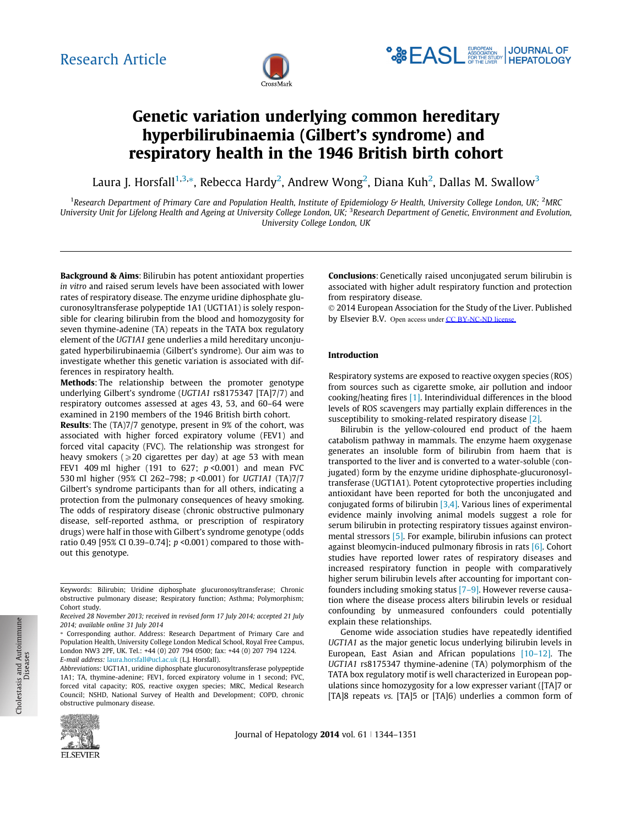

# Genetic variation underlying common hereditary hyperbilirubinaemia (Gilbert's syndrome) and respiratory health in the 1946 British birth cohort

Laura J. Horsfall $^{1,3,*}$ , Rebecca Hardy $^2$ , Andrew Wong $^2$ , Diana Kuh $^2$ , Dallas M. Swallow $^3$ 

<sup>1</sup>Research Department of Primary Care and Population Health, Institute of Epidemiology & Health, University College London, UK; <sup>2</sup>MRC University Unit for Lifelong Health and Ageing at University College London, UK; <sup>3</sup>Research Department of Genetic, Environment and Evolution, University College London, UK

Background & Aims: Bilirubin has potent antioxidant properties in vitro and raised serum levels have been associated with lower rates of respiratory disease. The enzyme uridine diphosphate glucuronosyltransferase polypeptide 1A1 (UGT1A1) is solely responsible for clearing bilirubin from the blood and homozygosity for seven thymine-adenine (TA) repeats in the TATA box regulatory element of the UGT1A1 gene underlies a mild hereditary unconjugated hyperbilirubinaemia (Gilbert's syndrome). Our aim was to investigate whether this genetic variation is associated with differences in respiratory health.

Methods: The relationship between the promoter genotype underlying Gilbert's syndrome (UGT1A1 rs8175347 [TA]7/7) and respiratory outcomes assessed at ages 43, 53, and 60–64 were examined in 2190 members of the 1946 British birth cohort.

Results: The (TA)7/7 genotype, present in 9% of the cohort, was associated with higher forced expiratory volume (FEV1) and forced vital capacity (FVC). The relationship was strongest for heavy smokers ( $\geq$ 20 cigarettes per day) at age 53 with mean FEV1 409 ml higher (191 to 627;  $p \le 0.001$ ) and mean FVC 530 ml higher (95% CI 262–798; p <0.001) for UGT1A1 (TA)7/7 Gilbert's syndrome participants than for all others, indicating a protection from the pulmonary consequences of heavy smoking. The odds of respiratory disease (chronic obstructive pulmonary disease, self-reported asthma, or prescription of respiratory drugs) were half in those with Gilbert's syndrome genotype (odds ratio 0.49 [95% CI 0.39–0.74]; p <0.001) compared to those without this genotype.

Abbreviations: UGT1A1, uridine diphosphate glucuronosyltransferase polypeptide 1A1; TA, thymine-adenine; FEV1, forced expiratory volume in 1 second; FVC, forced vital capacity; ROS, reactive oxygen species; MRC, Medical Research Council; NSHD, National Survey of Health and Development; COPD, chronic obstructive pulmonary disease.



Conclusions: Genetically raised unconjugated serum bilirubin is associated with higher adult respiratory function and protection from respiratory disease.

© 2014 European Association for the Study of the Liver. Published by Elsevier B.V. Open access under [CC BY-NC-ND license.](http://creativecommons.org/licenses/by-nc-nd/4.0/)

## Introduction

Respiratory systems are exposed to reactive oxygen species (ROS) from sources such as cigarette smoke, air pollution and indoor cooking/heating fires [\[1\]](#page-6-0). Interindividual differences in the blood levels of ROS scavengers may partially explain differences in the susceptibility to smoking-related respiratory disease [\[2\].](#page-6-0)

Bilirubin is the yellow-coloured end product of the haem catabolism pathway in mammals. The enzyme haem oxygenase generates an insoluble form of bilirubin from haem that is transported to the liver and is converted to a water-soluble (conjugated) form by the enzyme uridine diphosphate-glucuronosyltransferase (UGT1A1). Potent cytoprotective properties including antioxidant have been reported for both the unconjugated and conjugated forms of bilirubin [\[3,4\].](#page-6-0) Various lines of experimental evidence mainly involving animal models suggest a role for serum bilirubin in protecting respiratory tissues against environmental stressors [\[5\].](#page-6-0) For example, bilirubin infusions can protect against bleomycin-induced pulmonary fibrosis in rats  $[6]$ . Cohort studies have reported lower rates of respiratory diseases and increased respiratory function in people with comparatively higher serum bilirubin levels after accounting for important confounders including smoking status [\[7–9\].](#page-6-0) However reverse causation where the disease process alters bilirubin levels or residual confounding by unmeasured confounders could potentially explain these relationships.

Genome wide association studies have repeatedly identified UGT1A1 as the major genetic locus underlying bilirubin levels in European, East Asian and African populations [\[10–12\]](#page-6-0). The UGT1A1 rs8175347 thymine-adenine (TA) polymorphism of the TATA box regulatory motif is well characterized in European populations since homozygosity for a low expresser variant ([TA]7 or [TA]8 repeats vs. [TA]5 or [TA]6) underlies a common form of

Keywords: Bilirubin; Uridine diphosphate glucuronosyltransferase; Chronic obstructive pulmonary disease; Respiratory function; Asthma; Polymorphism; Cohort study.

Received 28 November 2013; received in revised form 17 July 2014; accepted 21 July 2014; available online 31 July 2014

<sup>⇑</sup> Corresponding author. Address: Research Department of Primary Care and Population Health, University College London Medical School, Royal Free Campus, London NW3 2PF, UK. Tel.: +44 (0) 207 794 0500; fax: +44 (0) 207 794 1224. E-mail address: [laura.horsfall@ucl.ac.uk](mailto:laura.horsfall@ucl.ac.uk) (L.J. Horsfall).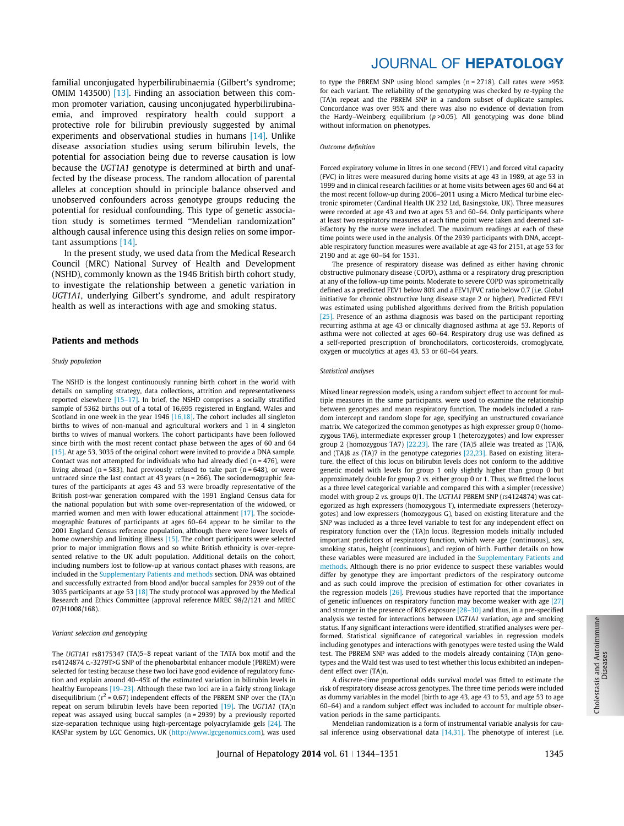familial unconjugated hyperbilirubinaemia (Gilbert's syndrome; OMIM 143500) [\[13\]](#page-6-0). Finding an association between this common promoter variation, causing unconjugated hyperbilirubinaemia, and improved respiratory health could support a protective role for bilirubin previously suggested by animal experiments and observational studies in humans [\[14\].](#page-6-0) Unlike disease association studies using serum bilirubin levels, the potential for association being due to reverse causation is low because the UGT1A1 genotype is determined at birth and unaffected by the disease process. The random allocation of parental alleles at conception should in principle balance observed and unobserved confounders across genotype groups reducing the potential for residual confounding. This type of genetic association study is sometimes termed ''Mendelian randomization'' although causal inference using this design relies on some important assumptions [\[14\].](#page-6-0)

In the present study, we used data from the Medical Research Council (MRC) National Survey of Health and Development (NSHD), commonly known as the 1946 British birth cohort study, to investigate the relationship between a genetic variation in UGT1A1, underlying Gilbert's syndrome, and adult respiratory health as well as interactions with age and smoking status.

### Patients and methods

#### Study population

The NSHD is the longest continuously running birth cohort in the world with details on sampling strategy, data collections, attrition and representativeness reported elsewhere [\[15–17\]](#page-6-0). In brief, the NSHD comprises a socially stratified sample of 5362 births out of a total of 16,695 registered in England, Wales and Scotland in one week in the year 1946 [\[16,18\]](#page-6-0). The cohort includes all singleton births to wives of non-manual and agricultural workers and 1 in 4 singleton births to wives of manual workers. The cohort participants have been followed since birth with the most recent contact phase between the ages of 60 and 64 [\[15\]](#page-6-0). At age 53, 3035 of the original cohort were invited to provide a DNA sample. Contact was not attempted for individuals who had already died ( $n = 476$ ), were living abroad ( $n = 583$ ), had previously refused to take part ( $n = 648$ ), or were untraced since the last contact at 43 years (n = 266). The sociodemographic features of the participants at ages 43 and 53 were broadly representative of the British post-war generation compared with the 1991 England Census data for the national population but with some over-representation of the widowed, or married women and men with lower educational attainment [\[17\].](#page-6-0) The sociodemographic features of participants at ages 60–64 appear to be similar to the 2001 England Census reference population, although there were lower levels of home ownership and limiting illness [\[15\]](#page-6-0). The cohort participants were selected prior to major immigration flows and so white British ethnicity is over-represented relative to the UK adult population. Additional details on the cohort, including numbers lost to follow-up at various contact phases with reasons, are included in the [Supplementary Patients and methods](#page-6-0) section. DNA was obtained and successfully extracted from blood and/or buccal samples for 2939 out of the 3035 participants at age 53 [\[18\]](#page-6-0) The study protocol was approved by the Medical Research and Ethics Committee (approval reference MREC 98/2/121 and MREC 07/H1008/168).

#### Variant selection and genotyping

The UGT1A1 rs8175347 (TA)5–8 repeat variant of the TATA box motif and the rs4124874 c.-3279T>G SNP of the phenobarbital enhancer module (PBREM) were selected for testing because these two loci have good evidence of regulatory function and explain around 40–45% of the estimated variation in bilirubin levels in healthy Europeans [\[19–23\]](#page-6-0). Although these two loci are in a fairly strong linkage disequilibrium ( $r^2$  = 0.67) independent effects of the PBREM SNP over the (TA)n repeat on serum bilirubin levels have been reported [\[19\]](#page-6-0). The UGT1A1 (TA)n repeat was assayed using buccal samples (n = 2939) by a previously reported size-separation technique using high-percentage polyacrylamide gels [\[24\]](#page-6-0). The KASPar system by LGC Genomics, UK [\(http://www.lgcgenomics.com\)](http://www.lgcgenomics.com), was used

# JOURNAL OF HEPATOLOGY

to type the PBREM SNP using blood samples (n = 2718). Call rates were >95% for each variant. The reliability of the genotyping was checked by re-typing the (TA)n repeat and the PBREM SNP in a random subset of duplicate samples. Concordance was over 95% and there was also no evidence of deviation from the Hardy-Weinberg equilibrium ( $p > 0.05$ ). All genotyping was done blind without information on phenotypes.

#### Outcome definition

Forced expiratory volume in litres in one second (FEV1) and forced vital capacity (FVC) in litres were measured during home visits at age 43 in 1989, at age 53 in 1999 and in clinical research facilities or at home visits between ages 60 and 64 at the most recent follow-up during 2006–2011 using a Micro Medical turbine electronic spirometer (Cardinal Health UK 232 Ltd, Basingstoke, UK). Three measures were recorded at age 43 and two at ages 53 and 60–64. Only participants where at least two respiratory measures at each time point were taken and deemed satisfactory by the nurse were included. The maximum readings at each of these time points were used in the analysis. Of the 2939 participants with DNA, acceptable respiratory function measures were available at age 43 for 2151, at age 53 for 2190 and at age 60–64 for 1531.

The presence of respiratory disease was defined as either having chronic obstructive pulmonary disease (COPD), asthma or a respiratory drug prescription at any of the follow-up time points. Moderate to severe COPD was spirometrically defined as a predicted FEV1 below 80% and a FEV1/FVC ratio below 0.7 (i.e. Global initiative for chronic obstructive lung disease stage 2 or higher). Predicted FEV1 was estimated using published algorithms derived from the British population [\[25\]](#page-6-0). Presence of an asthma diagnosis was based on the participant reporting recurring asthma at age 43 or clinically diagnosed asthma at age 53. Reports of asthma were not collected at ages 60–64. Respiratory drug use was defined as a self-reported prescription of bronchodilators, corticosteroids, cromoglycate, oxygen or mucolytics at ages 43, 53 or 60–64 years.

#### Statistical analyses

Mixed linear regression models, using a random subject effect to account for multiple measures in the same participants, were used to examine the relationship between genotypes and mean respiratory function. The models included a random intercept and random slope for age, specifying an unstructured covariance matrix. We categorized the common genotypes as high expresser group 0 (homozygous TA6), intermediate expresser group 1 (heterozygotes) and low expresser group 2 (homozygous TA7) [\[22,23\].](#page-6-0) The rare (TA)5 allele was treated as (TA)6, and (TA)8 as (TA)7 in the genotype categories [\[22,23\]](#page-6-0). Based on existing literature, the effect of this locus on bilirubin levels does not conform to the additive genetic model with levels for group 1 only slightly higher than group 0 but approximately double for group 2 vs. either group 0 or 1. Thus, we fitted the locus as a three level categorical variable and compared this with a simpler (recessive) model with group 2 vs. groups 0/1. The UGT1A1 PBREM SNP (rs4124874) was categorized as high expressers (homozygous T), intermediate expressers (heterozygotes) and low expressers (homozygous G), based on existing literature and the SNP was included as a three level variable to test for any independent effect on respiratory function over the (TA)n locus. Regression models initially included important predictors of respiratory function, which were age (continuous), sex, smoking status, height (continuous), and region of birth. Further details on how these variables were measured are included in the [Supplementary Patients and](#page-6-0) [methods.](#page-6-0) Although there is no prior evidence to suspect these variables would differ by genotype they are important predictors of the respiratory outcome and as such could improve the precision of estimation for other covariates in the regression models [\[26\]](#page-6-0). Previous studies have reported that the importance of genetic influences on respiratory function may become weaker with age [\[27\]](#page-6-0) and stronger in the presence of ROS exposure [\[28–30\]](#page-6-0) and thus, in a pre-specified analysis we tested for interactions between UGT1A1 variation, age and smoking status. If any significant interactions were identified, stratified analyses were performed. Statistical significance of categorical variables in regression models including genotypes and interactions with genotypes were tested using the Wald test. The PBREM SNP was added to the models already containing (TA)n genotypes and the Wald test was used to test whether this locus exhibited an independent effect over (TA)n.

A discrete-time proportional odds survival model was fitted to estimate the risk of respiratory disease across genotypes. The three time periods were included as dummy variables in the model (birth to age 43, age 43 to 53, and age 53 to age 60–64) and a random subject effect was included to account for multiple observation periods in the same participants.

Mendelian randomization is a form of instrumental variable analysis for causal inference using observational data  $[14,31]$ . The phenotype of interest (i.e. Cholestasis and Autoimmune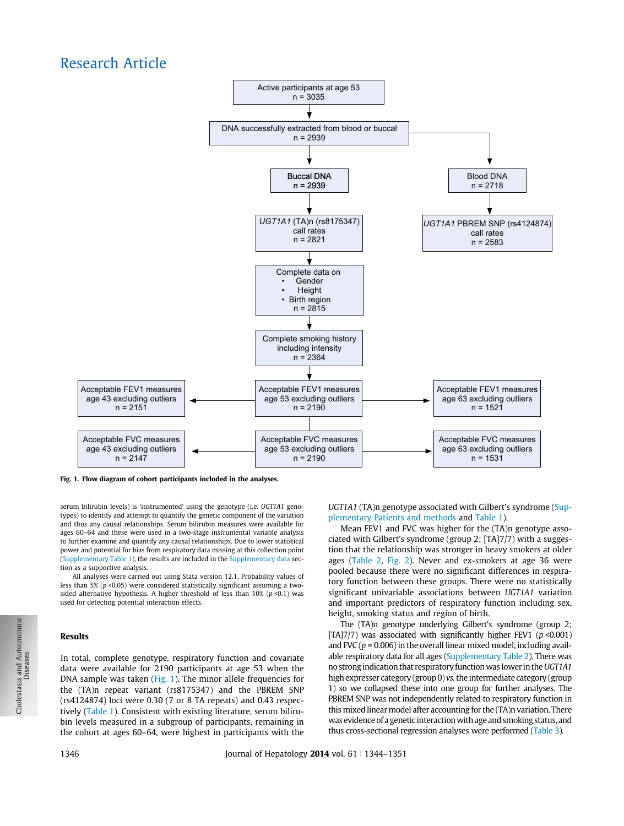## Research Article



Fig. 1. Flow diagram of cohort participants included in the analyses.

serum bilirubin levels) is 'instrumented' using the genotype (i.e. UGT1A1 genotypes) to identify and attempt to quantify the genetic component of the variation and thus any causal relationships. Serum bilirubin measures were available for ages 60–64 and these were used in a two-stage instrumental variable analysis to further examine and quantify any causal relationships. Due to lower statistical power and potential for bias from respiratory data missing at this collection point ([Supplementary Table 1\)](#page-6-0), the results are included in the [Supplementary data](#page-6-0) section as a supportive analysis.

All analyses were carried out using Stata version 12.1. Probability values of less than 5% ( $p$  <0.05) were considered statistically significant assuming a twosided alternative hypothesis. A higher threshold of less than  $10\%$  (p <0.1) was used for detecting potential interaction effects.

### Results

Cholestasis and Autoimmune

In total, complete genotype, respiratory function and covariate data were available for 2190 participants at age 53 when the DNA sample was taken (Fig. 1). The minor allele frequencies for the (TA)n repeat variant (rs8175347) and the PBREM SNP (rs4124874) loci were 0.30 (7 or 8 TA repeats) and 0.43 respectively [\(Table 1](#page-3-0)). Consistent with existing literature, serum bilirubin levels measured in a subgroup of participants, remaining in the cohort at ages 60–64, were highest in participants with the UGT1A1 (TA)n genotype associated with Gilbert's syndrome [\(Sup](#page-6-0)[plementary Patients and methods](#page-6-0) and [Table 1\)](#page-3-0).

Mean FEV1 and FVC was higher for the (TA)n genotype associated with Gilbert's syndrome (group 2; [TA]7/7) with a suggestion that the relationship was stronger in heavy smokers at older ages [\(Table 2](#page-3-0), [Fig. 2\)](#page-4-0). Never and ex-smokers at age 36 were pooled because there were no significant differences in respiratory function between these groups. There were no statistically significant univariable associations between UGT1A1 variation and important predictors of respiratory function including sex, height, smoking status and region of birth.

The (TA)n genotype underlying Gilbert's syndrome (group 2; [TA]7/7) was associated with significantly higher FEV1 ( $p \le 0.001$ ) and FVC ( $p = 0.006$ ) in the overall linear mixed model, including available respiratory data for all ages [\(Supplementary Table 2\)](#page-6-0). There was no strong indication that respiratory function was lower in the UGT1A1 high expresser category (group  $0$ ) vs. the intermediate category (group 1) so we collapsed these into one group for further analyses. The PBREM SNP was not independently related to respiratory function in this mixed linear model after accounting for the (TA)n variation. There was evidence of a genetic interaction with age and smoking status, and thus cross-sectional regression analyses were performed ([Table 3\)](#page-5-0).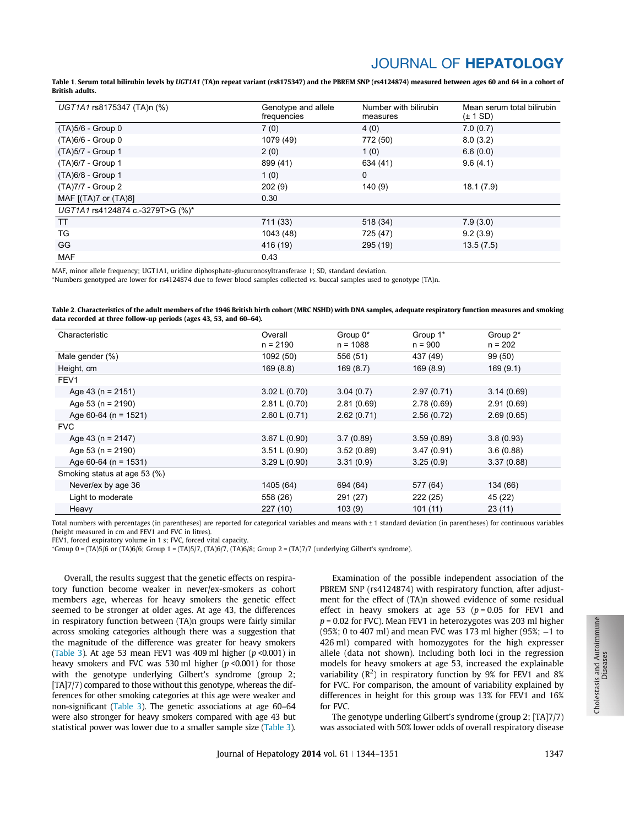# JOURNAL OF HEPATOLOGY

<span id="page-3-0"></span>Table 1. Serum total bilirubin levels by UGT1A1 (TA)n repeat variant (rs8175347) and the PBREM SNP (rs4124874) measured between ages 60 and 64 in a cohort of British adults.

| UGT1A1 rs8175347 (TA)n (%)       | Genotype and allele<br>frequencies | Number with bilirubin<br>measures | Mean serum total bilirubin<br>$(\pm 1$ SD) |
|----------------------------------|------------------------------------|-----------------------------------|--------------------------------------------|
| (TA)5/6 - Group 0                | 7(0)                               | 4(0)                              | 7.0(0.7)                                   |
| (TA)6/6 - Group 0                | 1079 (49)                          | 772 (50)                          | 8.0(3.2)                                   |
| (TA)5/7 - Group 1                | 2(0)                               | 1(0)                              | 6.6(0.0)                                   |
| (TA)6/7 - Group 1                | 899 (41)                           | 634 (41)                          | 9.6(4.1)                                   |
| (TA)6/8 - Group 1                | 1(0)                               | 0                                 |                                            |
| (TA)7/7 - Group 2                | 202(9)                             | 140(9)                            | 18.1(7.9)                                  |
| MAF $[(TA)7$ or $(TA)8]$         | 0.30                               |                                   |                                            |
| UGT1A1 rs4124874 c.-3279T>G (%)* |                                    |                                   |                                            |
| <b>TT</b>                        | 711 (33)                           | 518 (34)                          | 7.9(3.0)                                   |
| TG                               | 1043 (48)                          | 725 (47)                          | 9.2(3.9)                                   |
| GG                               | 416 (19)                           | 295 (19)                          | 13.5(7.5)                                  |
| <b>MAF</b>                       | 0.43                               |                                   |                                            |

MAF, minor allele frequency; UGT1A1, uridine diphosphate-glucuronosyltransferase 1; SD, standard deviation.

⁄ Numbers genotyped are lower for rs4124874 due to fewer blood samples collected vs. buccal samples used to genotype (TA)n.

| Table 2. Characteristics of the adult members of the 1946 British birth cohort (MRC NSHD) with DNA samples, adequate respiratory function measures and smoking |  |
|----------------------------------------------------------------------------------------------------------------------------------------------------------------|--|
| data recorded at three follow-up periods (ages 43, 53, and 60–64).                                                                                             |  |

| Characteristic               | Overall<br>$n = 2190$ | Group 0*<br>$n = 1088$ | Group 1*<br>$n = 900$ | Group 2*<br>$n = 202$ |
|------------------------------|-----------------------|------------------------|-----------------------|-----------------------|
| Male gender (%)              | 1092 (50)             | 556 (51)               | 437 (49)              | 99 (50)               |
| Height, cm                   | 169(8.8)              | 169(8.7)               | 169(8.9)              | 169(9.1)              |
| FEV <sub>1</sub>             |                       |                        |                       |                       |
| Age 43 ( $n = 2151$ )        | 3.02 L (0.70)         | 3.04(0.7)              | 2.97(0.71)            | 3.14(0.69)            |
| Age 53 ( $n = 2190$ )        | 2.81 L (0.70)         | 2.81(0.69)             | 2.78(0.69)            | 2.91(0.69)            |
| Age 60-64 (n = 1521)         | 2.60 L (0.71)         | 2.62(0.71)             | 2.56(0.72)            | 2.69(0.65)            |
| <b>FVC</b>                   |                       |                        |                       |                       |
| Age 43 ( $n = 2147$ )        | 3.67 L (0.90)         | 3.7(0.89)              | 3.59(0.89)            | 3.8(0.93)             |
| Age 53 ( $n = 2190$ )        | 3.51 L (0.90)         | 3.52(0.89)             | 3.47(0.91)            | 3.6(0.88)             |
| Age 60-64 (n = $1531$ )      | 3.29 L (0.90)         | 3.31(0.9)              | 3.25(0.9)             | 3.37(0.88)            |
| Smoking status at age 53 (%) |                       |                        |                       |                       |
| Never/ex by age 36           | 1405 (64)             | 694 (64)               | 577 (64)              | 134 (66)              |
| Light to moderate            | 558 (26)              | 291 (27)               | 222 (25)              | 45 (22)               |
| Heavy                        | 227(10)               | 103(9)                 | 101(11)               | 23(11)                |

Total numbers with percentages (in parentheses) are reported for categorical variables and means with ± 1 standard deviation (in parentheses) for continuous variables (height measured in cm and FEV1 and FVC in litres).

FEV1, forced expiratory volume in 1 s; FVC, forced vital capacity.

⁄ Group 0 = (TA)5/6 or (TA)6/6; Group 1 = (TA)5/7, (TA)6/7, (TA)6/8; Group 2 = (TA)7/7 (underlying Gilbert's syndrome).

Overall, the results suggest that the genetic effects on respiratory function become weaker in never/ex-smokers as cohort members age, whereas for heavy smokers the genetic effect seemed to be stronger at older ages. At age 43, the differences in respiratory function between (TA)n groups were fairly similar across smoking categories although there was a suggestion that the magnitude of the difference was greater for heavy smokers [\(Table 3\)](#page-5-0). At age 53 mean FEV1 was 409 ml higher ( $p$  <0.001) in heavy smokers and FVC was 530 ml higher ( $p \le 0.001$ ) for those with the genotype underlying Gilbert's syndrome (group 2; [TA]7/7) compared to those without this genotype, whereas the differences for other smoking categories at this age were weaker and non-significant [\(Table 3](#page-5-0)). The genetic associations at age 60–64 were also stronger for heavy smokers compared with age 43 but statistical power was lower due to a smaller sample size [\(Table 3](#page-5-0)).

Examination of the possible independent association of the PBREM SNP (rs4124874) with respiratory function, after adjustment for the effect of (TA)n showed evidence of some residual effect in heavy smokers at age 53 ( $p = 0.05$  for FEV1 and  $p = 0.02$  for FVC). Mean FEV1 in heterozygotes was 203 ml higher (95%; 0 to 407 ml) and mean FVC was 173 ml higher (95%; -1 to 426 ml) compared with homozygotes for the high expresser allele (data not shown). Including both loci in the regression models for heavy smokers at age 53, increased the explainable variability  $(R^2)$  in respiratory function by 9% for FEV1 and 8% for FVC. For comparison, the amount of variability explained by differences in height for this group was 13% for FEV1 and 16% for FVC.

The genotype underling Gilbert's syndrome (group 2; [TA]7/7) was associated with 50% lower odds of overall respiratory disease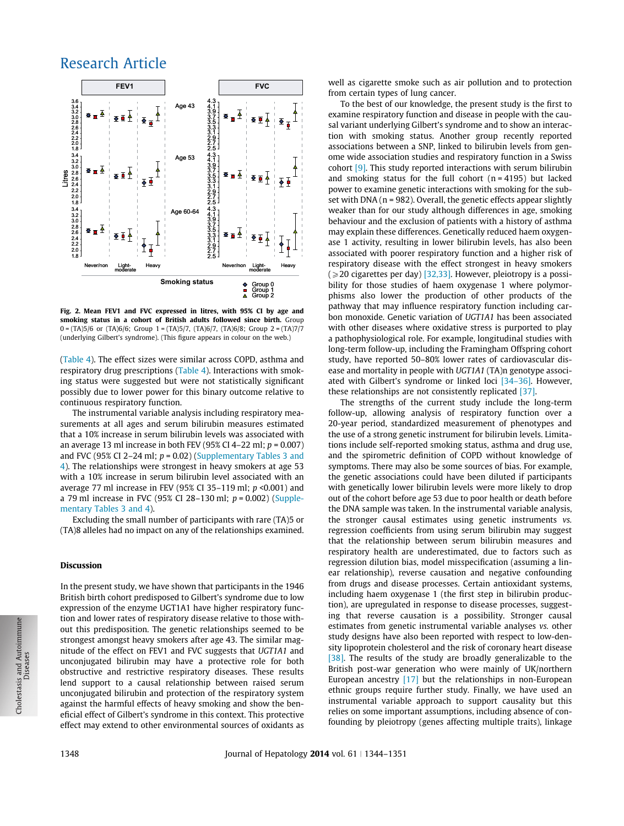## <span id="page-4-0"></span>Research Article



Fig. 2. Mean FEV1 and FVC expressed in litres, with 95% CI by age and smoking status in a cohort of British adults followed since birth. Group 0 = (TA)5/6 or (TA)6/6; Group 1 = (TA)5/7, (TA)6/7, (TA)6/8; Group 2 = (TA)7/7 (underlying Gilbert's syndrome). (This figure appears in colour on the web.)

[\(Table 4](#page-5-0)). The effect sizes were similar across COPD, asthma and respiratory drug prescriptions [\(Table 4](#page-5-0)). Interactions with smoking status were suggested but were not statistically significant possibly due to lower power for this binary outcome relative to continuous respiratory function.

The instrumental variable analysis including respiratory measurements at all ages and serum bilirubin measures estimated that a 10% increase in serum bilirubin levels was associated with an average 13 ml increase in both FEV (95% CI 4–22 ml;  $p = 0.007$ ) and FVC (95% CI 2–24 ml;  $p = 0.02$ ) [\(Supplementary Tables 3 and](#page-6-0) [4\)](#page-6-0). The relationships were strongest in heavy smokers at age 53 with a 10% increase in serum bilirubin level associated with an average 77 ml increase in FEV (95% CI 35–119 ml; p <0.001) and a 79 ml increase in FVC (95% CI 28–130 ml;  $p = 0.002$ ) [\(Supple](#page-6-0)[mentary Tables 3 and 4](#page-6-0)).

Excluding the small number of participants with rare (TA)5 or (TA)8 alleles had no impact on any of the relationships examined.

### Discussion

In the present study, we have shown that participants in the 1946 British birth cohort predisposed to Gilbert's syndrome due to low expression of the enzyme UGT1A1 have higher respiratory function and lower rates of respiratory disease relative to those without this predisposition. The genetic relationships seemed to be strongest amongst heavy smokers after age 43. The similar magnitude of the effect on FEV1 and FVC suggests that UGT1A1 and unconjugated bilirubin may have a protective role for both obstructive and restrictive respiratory diseases. These results lend support to a causal relationship between raised serum unconjugated bilirubin and protection of the respiratory system against the harmful effects of heavy smoking and show the beneficial effect of Gilbert's syndrome in this context. This protective effect may extend to other environmental sources of oxidants as well as cigarette smoke such as air pollution and to protection from certain types of lung cancer.

To the best of our knowledge, the present study is the first to examine respiratory function and disease in people with the causal variant underlying Gilbert's syndrome and to show an interaction with smoking status. Another group recently reported associations between a SNP, linked to bilirubin levels from genome wide association studies and respiratory function in a Swiss cohort [\[9\].](#page-6-0) This study reported interactions with serum bilirubin and smoking status for the full cohort  $(n = 4195)$  but lacked power to examine genetic interactions with smoking for the subset with DNA ( $n = 982$ ). Overall, the genetic effects appear slightly weaker than for our study although differences in age, smoking behaviour and the exclusion of patients with a history of asthma may explain these differences. Genetically reduced haem oxygenase 1 activity, resulting in lower bilirubin levels, has also been associated with poorer respiratory function and a higher risk of respiratory disease with the effect strongest in heavy smokers  $\geq$  20 cigarettes per day) [\[32,33\]](#page-7-0). However, pleiotropy is a possibility for those studies of haem oxygenase 1 where polymorphisms also lower the production of other products of the pathway that may influence respiratory function including carbon monoxide. Genetic variation of UGT1A1 has been associated with other diseases where oxidative stress is purported to play a pathophysiological role. For example, longitudinal studies with long-term follow-up, including the Framingham Offspring cohort study, have reported 50–80% lower rates of cardiovascular disease and mortality in people with UGT1A1 (TA)n genotype associated with Gilbert's syndrome or linked loci  $[34-36]$ . However, these relationships are not consistently replicated [\[37\]](#page-7-0).

The strengths of the current study include the long-term follow-up, allowing analysis of respiratory function over a 20-year period, standardized measurement of phenotypes and the use of a strong genetic instrument for bilirubin levels. Limitations include self-reported smoking status, asthma and drug use, and the spirometric definition of COPD without knowledge of symptoms. There may also be some sources of bias. For example, the genetic associations could have been diluted if participants with genetically lower bilirubin levels were more likely to drop out of the cohort before age 53 due to poor health or death before the DNA sample was taken. In the instrumental variable analysis, the stronger causal estimates using genetic instruments vs. regression coefficients from using serum bilirubin may suggest that the relationship between serum bilirubin measures and respiratory health are underestimated, due to factors such as regression dilution bias, model misspecification (assuming a linear relationship), reverse causation and negative confounding from drugs and disease processes. Certain antioxidant systems, including haem oxygenase 1 (the first step in bilirubin production), are upregulated in response to disease processes, suggesting that reverse causation is a possibility. Stronger causal estimates from genetic instrumental variable analyses vs. other study designs have also been reported with respect to low-density lipoprotein cholesterol and the risk of coronary heart disease [\[38\]](#page-7-0). The results of the study are broadly generalizable to the British post-war generation who were mainly of UK/northern European ancestry [\[17\]](#page-6-0) but the relationships in non-European ethnic groups require further study. Finally, we have used an instrumental variable approach to support causality but this relies on some important assumptions, including absence of confounding by pleiotropy (genes affecting multiple traits), linkage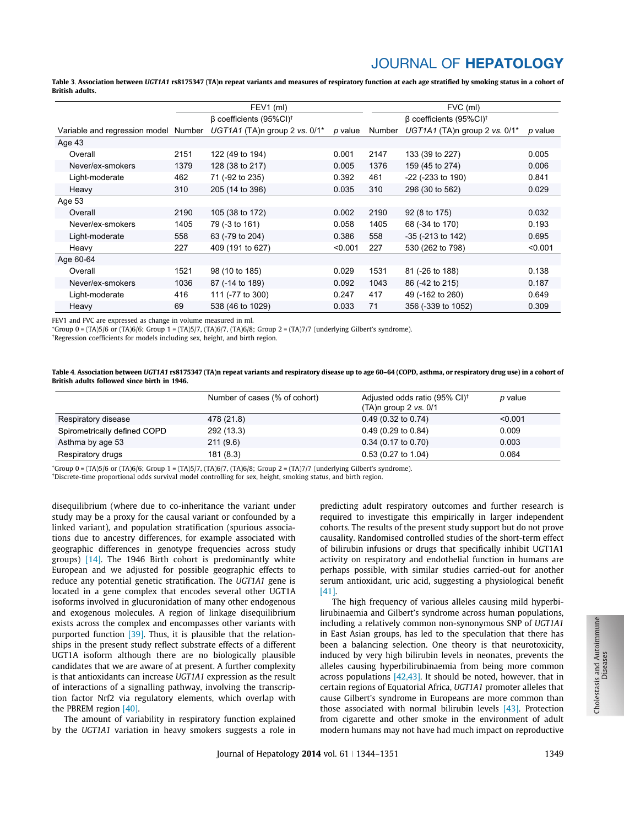# JOURNAL OF HEPATOLOGY

<span id="page-5-0"></span>Table 3. Association between UGT1A1 rs8175347 (TA)n repeat variants and measures of respiratory function at each age stratified by smoking status in a cohort of British adults.

|                                      |      | FEV1 (ml)                                 |         | FVC (ml)                                  |                               |         |  |
|--------------------------------------|------|-------------------------------------------|---------|-------------------------------------------|-------------------------------|---------|--|
|                                      |      | $\beta$ coefficients (95%CI) <sup>†</sup> |         | $\beta$ coefficients (95%CI) <sup>†</sup> |                               |         |  |
| Variable and regression model Number |      | UGT1A1 (TA)n group 2 vs. 0/1*             | p value | Number                                    | UGT1A1 (TA)n group 2 vs. 0/1* | p value |  |
| Age 43                               |      |                                           |         |                                           |                               |         |  |
| Overall                              | 2151 | 122 (49 to 194)                           | 0.001   | 2147                                      | 133 (39 to 227)               | 0.005   |  |
| Never/ex-smokers                     | 1379 | 128 (38 to 217)                           | 0.005   | 1376                                      | 159 (45 to 274)               | 0.006   |  |
| Light-moderate                       | 462  | 71 (-92 to 235)                           | 0.392   | 461                                       | $-22$ ( $-233$ to 190)        | 0.841   |  |
| Heavy                                | 310  | 205 (14 to 396)                           | 0.035   | 310                                       | 296 (30 to 562)               | 0.029   |  |
| Age 53                               |      |                                           |         |                                           |                               |         |  |
| Overall                              | 2190 | 105 (38 to 172)                           | 0.002   | 2190                                      | 92 (8 to 175)                 | 0.032   |  |
| Never/ex-smokers                     | 1405 | 79 (-3 to 161)                            | 0.058   | 1405                                      | 68 (-34 to 170)               | 0.193   |  |
| Light-moderate                       | 558  | 63 (-79 to 204)                           | 0.386   | 558                                       | $-35$ ( $-213$ to $142$ )     | 0.695   |  |
| Heavy                                | 227  | 409 (191 to 627)                          | < 0.001 | 227                                       | 530 (262 to 798)              | < 0.001 |  |
| Age 60-64                            |      |                                           |         |                                           |                               |         |  |
| Overall                              | 1521 | 98 (10 to 185)                            | 0.029   | 1531                                      | 81 (-26 to 188)               | 0.138   |  |
| Never/ex-smokers                     | 1036 | 87 (-14 to 189)                           | 0.092   | 1043                                      | 86 (-42 to 215)               | 0.187   |  |
| Light-moderate                       | 416  | 111 (-77 to 300)                          | 0.247   | 417                                       | 49 (-162 to 260)              | 0.649   |  |
| Heavy                                | 69   | 538 (46 to 1029)                          | 0.033   | 71                                        | 356 (-339 to 1052)            | 0.309   |  |

FEV1 and FVC are expressed as change in volume measured in ml.

⁄ Group 0 = (TA)5/6 or (TA)6/6; Group 1 = (TA)5/7, (TA)6/7, (TA)6/8; Group 2 = (TA)7/7 (underlying Gilbert's syndrome).

- Regression coefficients for models including sex, height, and birth region.

| Table 4. Association between UGT1A1 rs8175347 (TA)n repeat variants and respiratory disease up to age 60–64 (COPD, asthma, or respiratory drug use) in a cohort of |  |
|--------------------------------------------------------------------------------------------------------------------------------------------------------------------|--|
| British adults followed since birth in 1946.                                                                                                                       |  |

|                              | Number of cases (% of cohort) | Adjusted odds ratio (95% CI) <sup>†</sup><br>$(TA)$ n group 2 vs. 0/1 | p value |
|------------------------------|-------------------------------|-----------------------------------------------------------------------|---------|
| Respiratory disease          | 478 (21.8)                    | $0.49(0.32 \text{ to } 0.74)$                                         | < 0.001 |
| Spirometrically defined COPD | 292 (13.3)                    | $0.49(0.29)$ to $0.84$                                                | 0.009   |
| Asthma by age 53             | 211(9.6)                      | $0.34$ (0.17 to 0.70)                                                 | 0.003   |
| Respiratory drugs            | 181(8.3)                      | $0.53(0.27 \text{ to } 1.04)$                                         | 0.064   |

⁄ Group 0 = (TA)5/6 or (TA)6/6; Group 1 = (TA)5/7, (TA)6/7, (TA)6/8; Group 2 = (TA)7/7 (underlying Gilbert's syndrome).

- Discrete-time proportional odds survival model controlling for sex, height, smoking status, and birth region.

disequilibrium (where due to co-inheritance the variant under study may be a proxy for the causal variant or confounded by a linked variant), and population stratification (spurious associations due to ancestry differences, for example associated with geographic differences in genotype frequencies across study groups) [\[14\].](#page-6-0) The 1946 Birth cohort is predominantly white European and we adjusted for possible geographic effects to reduce any potential genetic stratification. The UGT1A1 gene is located in a gene complex that encodes several other UGT1A isoforms involved in glucuronidation of many other endogenous and exogenous molecules. A region of linkage disequilibrium exists across the complex and encompasses other variants with purported function [\[39\].](#page-7-0) Thus, it is plausible that the relationships in the present study reflect substrate effects of a different UGT1A isoform although there are no biologically plausible candidates that we are aware of at present. A further complexity is that antioxidants can increase UGT1A1 expression as the result of interactions of a signalling pathway, involving the transcription factor Nrf2 via regulatory elements, which overlap with the PBREM region [\[40\]](#page-7-0).

The amount of variability in respiratory function explained by the UGT1A1 variation in heavy smokers suggests a role in predicting adult respiratory outcomes and further research is required to investigate this empirically in larger independent cohorts. The results of the present study support but do not prove causality. Randomised controlled studies of the short-term effect of bilirubin infusions or drugs that specifically inhibit UGT1A1 activity on respiratory and endothelial function in humans are perhaps possible, with similar studies carried-out for another serum antioxidant, uric acid, suggesting a physiological benefit [\[41\]](#page-7-0).

The high frequency of various alleles causing mild hyperbilirubinaemia and Gilbert's syndrome across human populations, including a relatively common non-synonymous SNP of UGT1A1 in East Asian groups, has led to the speculation that there has been a balancing selection. One theory is that neurotoxicity, induced by very high bilirubin levels in neonates, prevents the alleles causing hyperbilirubinaemia from being more common across populations  $[42, 43]$ . It should be noted, however, that in certain regions of Equatorial Africa, UGT1A1 promoter alleles that cause Gilbert's syndrome in Europeans are more common than those associated with normal bilirubin levels [\[43\]](#page-7-0). Protection from cigarette and other smoke in the environment of adult modern humans may not have had much impact on reproductive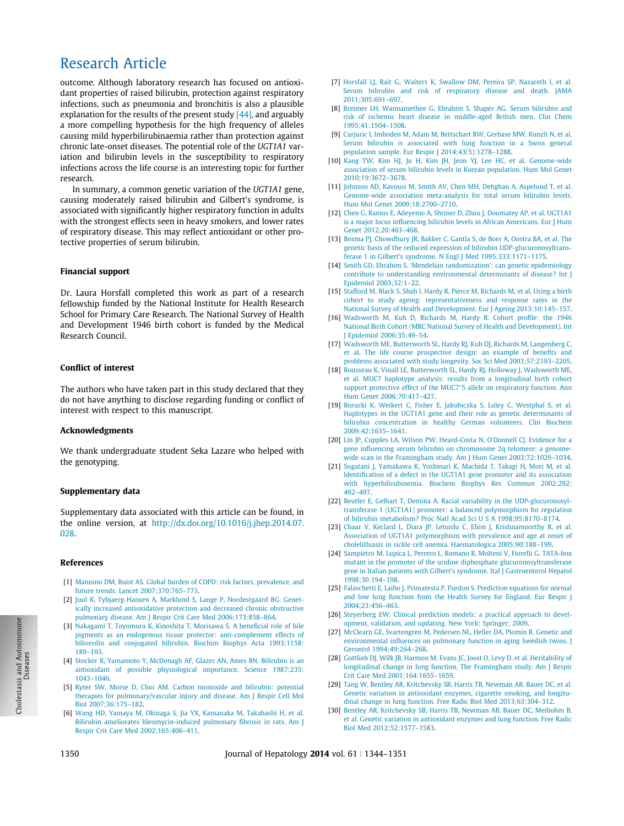# <span id="page-6-0"></span>Research Article

outcome. Although laboratory research has focused on antioxidant properties of raised bilirubin, protection against respiratory infections, such as pneumonia and bronchitis is also a plausible explanation for the results of the present study  $[44]$ , and arguably a more compelling hypothesis for the high frequency of alleles causing mild hyperbilirubinaemia rather than protection against chronic late-onset diseases. The potential role of the UGT1A1 variation and bilirubin levels in the susceptibility to respiratory infections across the life course is an interesting topic for further research.

In summary, a common genetic variation of the UGT1A1 gene, causing moderately raised bilirubin and Gilbert's syndrome, is associated with significantly higher respiratory function in adults with the strongest effects seen in heavy smokers, and lower rates of respiratory disease. This may reflect antioxidant or other protective properties of serum bilirubin.

### Financial support

Dr. Laura Horsfall completed this work as part of a research fellowship funded by the National Institute for Health Research School for Primary Care Research. The National Survey of Health and Development 1946 birth cohort is funded by the Medical Research Council.

### Conflict of interest

The authors who have taken part in this study declared that they do not have anything to disclose regarding funding or conflict of interest with respect to this manuscript.

### Acknowledgments

We thank undergraduate student Seka Lazare who helped with the genotyping.

### Supplementary data

Supplementary data associated with this article can be found, in the online version, at [http://dx.doi.org/10.1016/j.jhep.2014.07.](http://dx.doi.org/10.1016/j.jhep.2014.07.028) [028.](http://dx.doi.org/10.1016/j.jhep.2014.07.028)

#### References

- [1] [Mannino DM, Buist AS. Global burden of COPD: risk factors, prevalence, and](http://refhub.elsevier.com/S0168-8278(14)00531-5/h0005) [future trends. Lancet 2007;370:765–773](http://refhub.elsevier.com/S0168-8278(14)00531-5/h0005).
- [2] [Juul K, Tybjaerg-Hansen A, Marklund S, Lange P, Nordestgaard BG. Genet](http://refhub.elsevier.com/S0168-8278(14)00531-5/h0010)[ically increased antioxidative protection and decreased chronic obstructive](http://refhub.elsevier.com/S0168-8278(14)00531-5/h0010) [pulmonary disease. Am J Respir Crit Care Med 2006;173:858–864](http://refhub.elsevier.com/S0168-8278(14)00531-5/h0010).
- [3] [Nakagami T, Toyomura K, Kinoshita T, Morisawa S. A beneficial role of bile](http://refhub.elsevier.com/S0168-8278(14)00531-5/h0015) [pigments as an endogenous tissue protector: anti-complement effects of](http://refhub.elsevier.com/S0168-8278(14)00531-5/h0015) [biliverdin and conjugated bilirubin. Biochim Biophys Acta 1993;1158:](http://refhub.elsevier.com/S0168-8278(14)00531-5/h0015) [189–193.](http://refhub.elsevier.com/S0168-8278(14)00531-5/h0015)
- [4] [Stocker R, Yamamoto Y, McDonagh AF, Glazer AN, Ames BN. Bilirubin is an](http://refhub.elsevier.com/S0168-8278(14)00531-5/h0020) [antioxidant of possible physiological importance. Science 1987;235:](http://refhub.elsevier.com/S0168-8278(14)00531-5/h0020) [1043–1046](http://refhub.elsevier.com/S0168-8278(14)00531-5/h0020).
- [5] [Ryter SW, Morse D, Choi AM. Carbon monoxide and bilirubin: potential](http://refhub.elsevier.com/S0168-8278(14)00531-5/h0025) [therapies for pulmonary/vascular injury and disease. Am J Respir Cell Mol](http://refhub.elsevier.com/S0168-8278(14)00531-5/h0025) [Biol 2007;36:175–182](http://refhub.elsevier.com/S0168-8278(14)00531-5/h0025).
- [6] [Wang HD, Yamaya M, Okinaga S, Jia YX, Kamanaka M, Takahashi H, et al.](http://refhub.elsevier.com/S0168-8278(14)00531-5/h0030) [Bilirubin ameliorates bleomycin-induced pulmonary fibrosis in rats. Am J](http://refhub.elsevier.com/S0168-8278(14)00531-5/h0030) [Respir Crit Care Med 2002;165:406–411](http://refhub.elsevier.com/S0168-8278(14)00531-5/h0030).
- [7] [Horsfall LJ, Rait G, Walters K, Swallow DM, Pereira SP, Nazareth I, et al.](http://refhub.elsevier.com/S0168-8278(14)00531-5/h0035) [Serum bilirubin and risk of respiratory disease and death. JAMA](http://refhub.elsevier.com/S0168-8278(14)00531-5/h0035) [2011;305:691–697](http://refhub.elsevier.com/S0168-8278(14)00531-5/h0035).
- [8] [Breimer LH, Wannamethee G, Ebrahim S, Shaper AG. Serum bilirubin and](http://refhub.elsevier.com/S0168-8278(14)00531-5/h0040) [risk of ischemic heart disease in middle-aged British men. Clin Chem](http://refhub.elsevier.com/S0168-8278(14)00531-5/h0040) [1995;41:1504–1508](http://refhub.elsevier.com/S0168-8278(14)00531-5/h0040).
- [9] [Curjuric I, Imboden M, Adam M, Bettschart RW, Gerbase MW, Kunzli N, et al.](http://refhub.elsevier.com/S0168-8278(14)00531-5/h0225) [Serum bilirubin is associated with lung function in a Swiss general](http://refhub.elsevier.com/S0168-8278(14)00531-5/h0225) [population sample. Eur Respir J 2014;43\(5\):1278–1288](http://refhub.elsevier.com/S0168-8278(14)00531-5/h0225).
- [10] [Kang TW, Kim HJ, Ju H, Kim JH, Jeon YJ, Lee HC, et al. Genome-wide](http://refhub.elsevier.com/S0168-8278(14)00531-5/h0050) [association of serum bilirubin levels in Korean population. Hum Mol Genet](http://refhub.elsevier.com/S0168-8278(14)00531-5/h0050) [2010;19:3672–3678.](http://refhub.elsevier.com/S0168-8278(14)00531-5/h0050)
- [11] [Johnson AD, Kavousi M, Smith AV, Chen MH, Dehghan A, Aspelund T, et al.](http://refhub.elsevier.com/S0168-8278(14)00531-5/h0055) [Genome-wide association meta-analysis for total serum bilirubin levels.](http://refhub.elsevier.com/S0168-8278(14)00531-5/h0055) [Hum Mol Genet 2009;18:2700–2710](http://refhub.elsevier.com/S0168-8278(14)00531-5/h0055).
- [12] [Chen G, Ramos E, Adeyemo A, Shriner D, Zhou J, Doumatey AP, et al. UGT1A1](http://refhub.elsevier.com/S0168-8278(14)00531-5/h0060) [is a major locus influencing bilirubin levels in African Americans. Eur J Hum](http://refhub.elsevier.com/S0168-8278(14)00531-5/h0060) [Genet 2012;20:463–468.](http://refhub.elsevier.com/S0168-8278(14)00531-5/h0060)
- [13] [Bosma PJ, Chowdhury JR, Bakker C, Gantla S, de Boer A, Oostra BA, et al. The](http://refhub.elsevier.com/S0168-8278(14)00531-5/h0065) [genetic basis of the reduced expression of bilirubin UDP-glucuronosyltrans](http://refhub.elsevier.com/S0168-8278(14)00531-5/h0065)[ferase 1 in Gilbert's syndrome. N Engl J Med 1995;333:1171–1175.](http://refhub.elsevier.com/S0168-8278(14)00531-5/h0065)
- [14] [Smith GD, Ebrahim S. 'Mendelian randomization': can genetic epidemiology](http://refhub.elsevier.com/S0168-8278(14)00531-5/h0070) [contribute to understanding environmental determinants of disease? Int J](http://refhub.elsevier.com/S0168-8278(14)00531-5/h0070) [Epidemiol 2003;32:1–22.](http://refhub.elsevier.com/S0168-8278(14)00531-5/h0070)
- [15] [Stafford M, Black S, Shah I, Hardy R, Pierce M, Richards M, et al. Using a birth](http://refhub.elsevier.com/S0168-8278(14)00531-5/h0075) [cohort to study ageing: representativeness and response rates in the](http://refhub.elsevier.com/S0168-8278(14)00531-5/h0075) [National Survey of Health and Development. Eur J Ageing 2013;10:145–157.](http://refhub.elsevier.com/S0168-8278(14)00531-5/h0075)
- [16] [Wadsworth M, Kuh D, Richards M, Hardy R. Cohort profile: the 1946](http://refhub.elsevier.com/S0168-8278(14)00531-5/h0080) [National Birth Cohort \(MRC National Survey of Health and Development\). Int](http://refhub.elsevier.com/S0168-8278(14)00531-5/h0080) [J Epidemiol 2006;35:49–54.](http://refhub.elsevier.com/S0168-8278(14)00531-5/h0080)
- [17] [Wadsworth ME, Butterworth SL, Hardy RJ, Kuh DJ, Richards M, Langenberg C,](http://refhub.elsevier.com/S0168-8278(14)00531-5/h0085) [et al. The life course prospective design: an example of benefits and](http://refhub.elsevier.com/S0168-8278(14)00531-5/h0085) [problems associated with study longevity. Soc Sci Med 2003;57:2193–2205.](http://refhub.elsevier.com/S0168-8278(14)00531-5/h0085)
- [18] [Rousseau K, Vinall LE, Butterworth SL, Hardy RJ, Holloway J, Wadsworth ME,](http://refhub.elsevier.com/S0168-8278(14)00531-5/h0090) [et al. MUC7 haplotype analysis: results from a longitudinal birth cohort](http://refhub.elsevier.com/S0168-8278(14)00531-5/h0090) [support](http://refhub.elsevier.com/S0168-8278(14)00531-5/h0090) [protective](http://refhub.elsevier.com/S0168-8278(14)00531-5/h0090) [effect](http://refhub.elsevier.com/S0168-8278(14)00531-5/h0090) [of](http://refhub.elsevier.com/S0168-8278(14)00531-5/h0090) [the](http://refhub.elsevier.com/S0168-8278(14)00531-5/h0090) [MUC7](http://refhub.elsevier.com/S0168-8278(14)00531-5/h0090)<sup>\*</sup>[5 allele on respiratory function. Ann](http://refhub.elsevier.com/S0168-8278(14)00531-5/h0090) [Hum Genet 2006;70:417–427](http://refhub.elsevier.com/S0168-8278(14)00531-5/h0090).
- [19] [Borucki K, Weikert C, Fisher E, Jakubiczka S, Luley C, Westphal S, et al.](http://refhub.elsevier.com/S0168-8278(14)00531-5/h0095) [Haplotypes in the UGT1A1 gene and their role as genetic determinants of](http://refhub.elsevier.com/S0168-8278(14)00531-5/h0095) [bilirubin concentration in healthy German volunteers. Clin Biochem](http://refhub.elsevier.com/S0168-8278(14)00531-5/h0095) [2009;42:1635–1641.](http://refhub.elsevier.com/S0168-8278(14)00531-5/h0095)
- [20] [Lin JP, Cupples LA, Wilson PW, Heard-Costa N, O'Donnell CJ. Evidence for a](http://refhub.elsevier.com/S0168-8278(14)00531-5/h0100) [gene influencing serum bilirubin on chromosome 2q telomere: a genome](http://refhub.elsevier.com/S0168-8278(14)00531-5/h0100)[wide scan in the Framingham study. Am J Hum Genet 2003;72:1029–1034.](http://refhub.elsevier.com/S0168-8278(14)00531-5/h0100)
- [21] [Sugatani J, Yamakawa K, Yoshinari K, Machida T, Takagi H, Mori M, et al.](http://refhub.elsevier.com/S0168-8278(14)00531-5/h0105) [Identification of a defect in the UGT1A1 gene promoter and its association](http://refhub.elsevier.com/S0168-8278(14)00531-5/h0105) [with hyperbilirubinemia. Biochem Biophys Res Commun 2002;292:](http://refhub.elsevier.com/S0168-8278(14)00531-5/h0105) [492–497.](http://refhub.elsevier.com/S0168-8278(14)00531-5/h0105)
- [22] [Beutler E, Gelbart T, Demina A. Racial variability in the UDP-glucuronosyl](http://refhub.elsevier.com/S0168-8278(14)00531-5/h0110)[transferase 1 \(UGT1A1\) promoter: a balanced polymorphism for regulation](http://refhub.elsevier.com/S0168-8278(14)00531-5/h0110) [of bilirubin metabolism? Proc Natl Acad Sci U S A 1998;95:8170–8174](http://refhub.elsevier.com/S0168-8278(14)00531-5/h0110).
- [23] [Chaar V, Keclard L, Diara JP, Leturdu C, Elion J, Krishnamoorthy R, et al.](http://refhub.elsevier.com/S0168-8278(14)00531-5/h0115) [Association of UGT1A1 polymorphism with prevalence and age at onset of](http://refhub.elsevier.com/S0168-8278(14)00531-5/h0115) [cholelithiasis in sickle cell anemia. Haematologica 2005;90:188–199](http://refhub.elsevier.com/S0168-8278(14)00531-5/h0115).
- [24] [Sampietro M, Lupica L, Perrero L, Romano R, Molteni V, Fiorelli G. TATA-box](http://refhub.elsevier.com/S0168-8278(14)00531-5/h0120) [mutant in the promoter of the uridine diphosphate glucuronosyltransferase](http://refhub.elsevier.com/S0168-8278(14)00531-5/h0120) [gene in Italian patients with Gilbert's syndrome. Ital J Gastroenterol Hepatol](http://refhub.elsevier.com/S0168-8278(14)00531-5/h0120) [1998;30:194–198](http://refhub.elsevier.com/S0168-8278(14)00531-5/h0120).
- [25] [Falaschetti E, Laiho J, Primatesta P, Purdon S. Prediction equations for normal](http://refhub.elsevier.com/S0168-8278(14)00531-5/h0125) [and low lung function from the Health Survey for England. Eur Respir J](http://refhub.elsevier.com/S0168-8278(14)00531-5/h0125) [2004;23:456–463](http://refhub.elsevier.com/S0168-8278(14)00531-5/h0125).
- [26] [Steyerberg EW. Clinical prediction models: a practical approach to devel](http://refhub.elsevier.com/S0168-8278(14)00531-5/h0130)[opment, validation, and updating. New York: Springer; 2009.](http://refhub.elsevier.com/S0168-8278(14)00531-5/h0130)
- [27] [McClearn GE, Svartengren M, Pedersen NL, Heller DA, Plomin R. Genetic and](http://refhub.elsevier.com/S0168-8278(14)00531-5/h0135) [environmental influences on pulmonary function in aging Swedish twins. J](http://refhub.elsevier.com/S0168-8278(14)00531-5/h0135) [Gerontol 1994;49:264–268](http://refhub.elsevier.com/S0168-8278(14)00531-5/h0135).
- [28] [Gottlieb DJ, Wilk JB, Harmon M, Evans JC, Joost O, Levy D, et al. Heritability of](http://refhub.elsevier.com/S0168-8278(14)00531-5/h0140) [longitudinal change in lung function. The Framingham study. Am J Respir](http://refhub.elsevier.com/S0168-8278(14)00531-5/h0140) [Crit Care Med 2001;164:1655–1659.](http://refhub.elsevier.com/S0168-8278(14)00531-5/h0140)
- [29] [Tang W, Bentley AR, Kritchevsky SB, Harris TB, Newman AB, Bauer DC, et al.](http://refhub.elsevier.com/S0168-8278(14)00531-5/h0145) [Genetic variation in antioxidant enzymes, cigarette smoking, and longitu](http://refhub.elsevier.com/S0168-8278(14)00531-5/h0145)[dinal change in lung function. Free Radic Biol Med 2013;63:304–312.](http://refhub.elsevier.com/S0168-8278(14)00531-5/h0145)
- [30] [Bentley AR, Kritchevsky SB, Harris TB, Newman AB, Bauer DC, Meibohm B,](http://refhub.elsevier.com/S0168-8278(14)00531-5/h0150) [et al. Genetic variation in antioxidant enzymes and lung function. Free Radic](http://refhub.elsevier.com/S0168-8278(14)00531-5/h0150) [Biol Med 2012;52:1577–1583](http://refhub.elsevier.com/S0168-8278(14)00531-5/h0150).